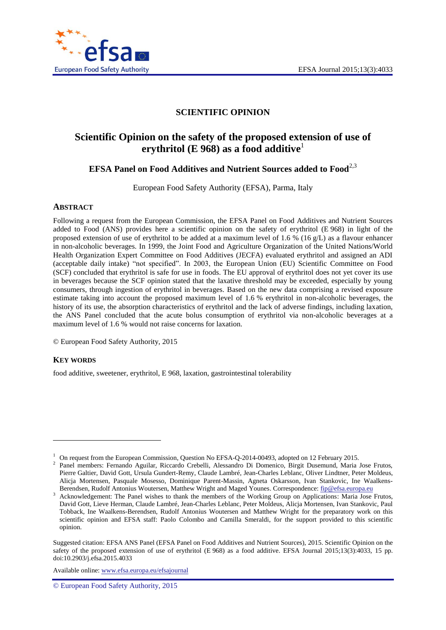

## **SCIENTIFIC OPINION**

# **Scientific Opinion on the safety of the proposed extension of use of erythritol (E 968) as a food additive**<sup>1</sup>

# **EFSA** Panel on Food Additives and Nutrient Sources added to Food<sup>2,3</sup>

European Food Safety Authority (EFSA), Parma, Italy

#### <span id="page-0-0"></span>**ABSTRACT**

Following a request from the European Commission, the EFSA Panel on Food Additives and Nutrient Sources added to Food (ANS) provides here a scientific opinion on the safety of erythritol (E 968) in light of the proposed extension of use of erythritol to be added at a maximum level of 1.6 % (16 g/L) as a flavour enhancer in non-alcoholic beverages. In 1999, the Joint Food and Agriculture Organization of the United Nations/World Health Organization Expert Committee on Food Additives (JECFA) evaluated erythritol and assigned an ADI (acceptable daily intake) "not specified". In 2003, the European Union (EU) Scientific Committee on Food (SCF) concluded that erythritol is safe for use in foods. The EU approval of erythritol does not yet cover its use in beverages because the SCF opinion stated that the laxative threshold may be exceeded, especially by young consumers, through ingestion of erythritol in beverages. Based on the new data comprising a revised exposure estimate taking into account the proposed maximum level of 1.6 % erythritol in non-alcoholic beverages, the history of its use, the absorption characteristics of erythritol and the lack of adverse findings, including laxation, the ANS Panel concluded that the acute bolus consumption of erythritol via non-alcoholic beverages at a maximum level of 1.6 % would not raise concerns for laxation.

© European Food Safety Authority, 2015

#### **KEY WORDS**

l

food additive, sweetener, erythritol, E 968, laxation, gastrointestinal tolerability

Available online: www.efsa.europa.eu/efsajournal

<sup>&</sup>lt;sup>1</sup> On request from the European Commission, Question No EFSA-O-2014-00493, adopted on 12 February 2015.

<sup>2</sup> Panel members: Fernando Aguilar, Riccardo Crebelli, Alessandro Di Domenico, Birgit Dusemund, Maria Jose Frutos, Pierre Galtier, David Gott, Ursula Gundert-Remy, Claude Lambré, Jean-Charles Leblanc, Oliver Lindtner, Peter Moldeus, Alicja Mortensen, Pasquale Mosesso, Dominique Parent-Massin, Agneta Oskarsson, Ivan Stankovic, Ine Waalkens-Berendsen, Rudolf Antonius Woutersen, Matthew Wright and Maged Younes. Correspondence[: fip@efsa.europa.eu](mailto:fip@efsa.europa.eu)

Acknowledgement: The Panel wishes to thank the members of the Working Group on Applications: Maria Jose Frutos, David Gott, Lieve Herman, Claude Lambré, Jean-Charles Leblanc, Peter Moldeus, Alicja Mortensen, Ivan Stankovic, Paul Tobback, Ine Waalkens-Berendsen, Rudolf Antonius Woutersen and Matthew Wright for the preparatory work on this scientific opinion and EFSA staff: Paolo Colombo and Camilla Smeraldi, for the support provided to this scientific opinion.

Suggested citation: EFSA ANS Panel (EFSA Panel on Food Additives and Nutrient Sources), 2015. Scientific Opinion on the safety of the proposed extension of use of erythritol (E 968) as a food additive. EFSA Journal 2015;13(3):4033, 15 pp. doi:10.2903/j.efsa.2015.4033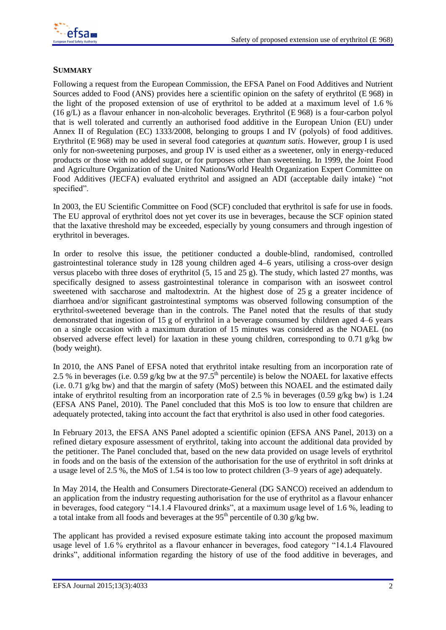

#### <span id="page-1-0"></span>**SUMMARY**

Following a request from the European Commission, the EFSA Panel on Food Additives and Nutrient Sources added to Food (ANS) provides here a scientific opinion on the safety of erythritol (E 968) in the light of the proposed extension of use of erythritol to be added at a maximum level of 1.6 % (16 g/L) as a flavour enhancer in non-alcoholic beverages. Erythritol (E 968) is a four-carbon polyol that is well tolerated and currently an authorised food additive in the European Union (EU) under Annex II of Regulation (EC) 1333/2008, belonging to groups I and IV (polyols) of food additives. Erythritol (E 968) may be used in several food categories at *quantum satis*. However, group I is used only for non-sweetening purposes, and group IV is used either as a sweetener, only in energy-reduced products or those with no added sugar, or for purposes other than sweetening. In 1999, the Joint Food and Agriculture Organization of the United Nations/World Health Organization Expert Committee on Food Additives (JECFA) evaluated erythritol and assigned an ADI (acceptable daily intake) "not specified".

In 2003, the EU Scientific Committee on Food (SCF) concluded that erythritol is safe for use in foods. The EU approval of erythritol does not yet cover its use in beverages, because the SCF opinion stated that the laxative threshold may be exceeded, especially by young consumers and through ingestion of erythritol in beverages.

In order to resolve this issue, the petitioner conducted a double-blind, randomised, controlled gastrointestinal tolerance study in 128 young children aged 4–6 years, utilising a cross-over design versus placebo with three doses of erythritol (5, 15 and 25 g). The study, which lasted 27 months, was specifically designed to assess gastrointestinal tolerance in comparison with an isosweet control sweetened with saccharose and maltodextrin. At the highest dose of 25 g a greater incidence of diarrhoea and/or significant gastrointestinal symptoms was observed following consumption of the erythritol-sweetened beverage than in the controls. The Panel noted that the results of that study demonstrated that ingestion of 15 g of erythritol in a beverage consumed by children aged 4–6 years on a single occasion with a maximum duration of 15 minutes was considered as the NOAEL (no observed adverse effect level) for laxation in these young children, corresponding to 0.71 g/kg bw (body weight).

In 2010, the ANS Panel of EFSA noted that erythritol intake resulting from an incorporation rate of 2.5 % in beverages (i.e. 0.59 g/kg bw at the 97.5<sup>th</sup> percentile) is below the NOAEL for laxative effects (i.e. 0.71 g/kg bw) and that the margin of safety (MoS) between this NOAEL and the estimated daily intake of erythritol resulting from an incorporation rate of 2.5 % in beverages (0.59 g/kg bw) is 1.24 (EFSA ANS Panel, 2010). The Panel concluded that this MoS is too low to ensure that children are adequately protected, taking into account the fact that erythritol is also used in other food categories.

In February 2013, the EFSA ANS Panel adopted a scientific opinion (EFSA ANS Panel, 2013) on a refined dietary exposure assessment of erythritol, taking into account the additional data provided by the petitioner. The Panel concluded that, based on the new data provided on usage levels of erythritol in foods and on the basis of the extension of the authorisation for the use of erythritol in soft drinks at a usage level of 2.5 %, the MoS of 1.54 is too low to protect children (3–9 years of age) adequately.

In May 2014, the Health and Consumers Directorate-General (DG SANCO) received an addendum to an application from the industry requesting authorisation for the use of erythritol as a flavour enhancer in beverages, food category "14.1.4 Flavoured drinks", at a maximum usage level of 1.6 %, leading to a total intake from all foods and beverages at the  $95<sup>th</sup>$  percentile of 0.30 g/kg bw.

The applicant has provided a revised exposure estimate taking into account the proposed maximum usage level of 1.6 % erythritol as a flavour enhancer in beverages, food category "14.1.4 Flavoured drinks", additional information regarding the history of use of the food additive in beverages, and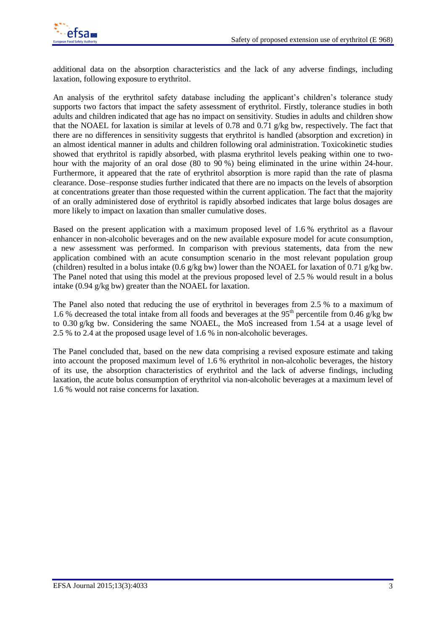additional data on the absorption characteristics and the lack of any adverse findings, including laxation, following exposure to erythritol.

An analysis of the erythritol safety database including the applicant's children's tolerance study supports two factors that impact the safety assessment of erythritol. Firstly, tolerance studies in both adults and children indicated that age has no impact on sensitivity. Studies in adults and children show that the NOAEL for laxation is similar at levels of 0.78 and 0.71 g/kg bw, respectively. The fact that there are no differences in sensitivity suggests that erythritol is handled (absorption and excretion) in an almost identical manner in adults and children following oral administration. Toxicokinetic studies showed that erythritol is rapidly absorbed, with plasma erythritol levels peaking within one to twohour with the majority of an oral dose (80 to 90 %) being eliminated in the urine within 24-hour. Furthermore, it appeared that the rate of erythritol absorption is more rapid than the rate of plasma clearance. Dose–response studies further indicated that there are no impacts on the levels of absorption at concentrations greater than those requested within the current application. The fact that the majority of an orally administered dose of erythritol is rapidly absorbed indicates that large bolus dosages are more likely to impact on laxation than smaller cumulative doses.

Based on the present application with a maximum proposed level of 1.6 % erythritol as a flavour enhancer in non-alcoholic beverages and on the new available exposure model for acute consumption, a new assessment was performed. In comparison with previous statements, data from the new application combined with an acute consumption scenario in the most relevant population group (children) resulted in a bolus intake (0.6 g/kg bw) lower than the NOAEL for laxation of 0.71 g/kg bw. The Panel noted that using this model at the previous proposed level of 2.5 % would result in a bolus intake (0.94 g/kg bw) greater than the NOAEL for laxation.

The Panel also noted that reducing the use of erythritol in beverages from 2.5 % to a maximum of 1.6 % decreased the total intake from all foods and beverages at the  $95<sup>th</sup>$  percentile from 0.46 g/kg bw to 0.30 g/kg bw. Considering the same NOAEL, the MoS increased from 1.54 at a usage level of 2.5 % to 2.4 at the proposed usage level of 1.6 % in non-alcoholic beverages.

The Panel concluded that, based on the new data comprising a revised exposure estimate and taking into account the proposed maximum level of 1.6 % erythritol in non-alcoholic beverages, the history of its use, the absorption characteristics of erythritol and the lack of adverse findings, including laxation, the acute bolus consumption of erythritol via non-alcoholic beverages at a maximum level of 1.6 % would not raise concerns for laxation.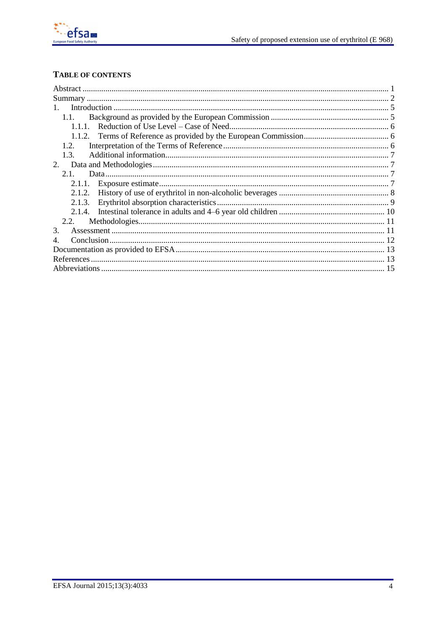

# TABLE OF CONTENTS

| $\mathbf{1}$ |  |
|--------------|--|
| 1.1.         |  |
|              |  |
|              |  |
| 1.2.         |  |
| 1.3.         |  |
| 2.           |  |
| 2.1          |  |
|              |  |
| 2.1.2.       |  |
| 2.1.3.       |  |
|              |  |
| 2.2.         |  |
| 3.           |  |
| 4.           |  |
|              |  |
|              |  |
|              |  |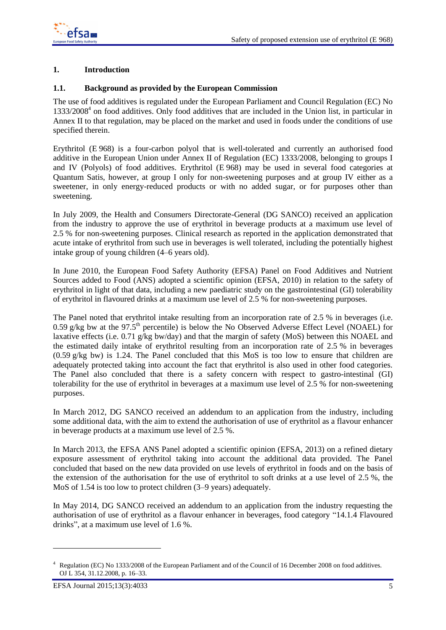

### <span id="page-4-0"></span>**1.** Introduction

#### <span id="page-4-1"></span>**1.1. Background as provided by the European Commission** 24

The use of food additives is regulated under the European Parliament and Council Regulation (EC) No 25 1333/2008<sup>4</sup> on food additives. Only food additives that are included in the Union list, in particular in Annex II to that regulation, may be placed on the market and used in foods under the conditions of use specified therein.

Erythritol (E 968) is a four-carbon polyol that is well-tolerated and currently an authorised food additive in the European Union under Annex II of Regulation (EC) 1333/2008, belonging to groups I and IV (Polyols) of food additives. Erythritol (E 968) may be used in several food categories at Quantum Satis, however, at group I only for non-sweetening purposes and at group IV either as a sweetener, in only energy-reduced products or with no added sugar, or for purposes other than sweetening.

In July 2009, the Health and Consumers Directorate-General (DG SANCO) received an application from the industry to approve the use of erythritol in beverage products at a maximum use level of 2.5 % for non-sweetening purposes. Clinical research as reported in the application demonstrated that 37 acute intake of erythritol from such use in beverages is well tolerated, including the potentially highest intake group of young children (4–6 years old).

In June 2010, the European Food Safety Authority (EFSA) Panel on Food Additives and Nutrient Sources added to Food (ANS) adopted a scientific opinion (EFSA, 2010) in relation to the safety of erythritol in light of that data, including a new paediatric study on the gastrointestinal (GI) tolerability 42 of erythritol in flavoured drinks at a maximum use level of 2.5 % for non-sweetening purposes. 43

The Panel noted that erythritol intake resulting from an incorporation rate of 2.5 % in beverages (i.e. 0.59 g/kg bw at the 97.5<sup>th</sup> percentile) is below the No Observed Adverse Effect Level (NOAEL) for laxative effects (i.e.  $0.71 \text{ g/kg}$  bw/day) and that the margin of safety (MoS) between this NOAEL and the estimated daily intake of erythritol resulting from an incorporation rate of 2.5 % in beverages  $(0.59 \text{ g/kg}$  bw) is 1.24. The Panel concluded that this MoS is too low to ensure that children are adequately protected taking into account the fact that erythritol is also used in other food categories. 49 The Panel also concluded that there is a safety concern with respect to gastro-intestinal (GI) tolerability for the use of erythritol in beverages at a maximum use level of 2.5 % for non-sweetening 51 purposes.

In March 2012, DG SANCO received an addendum to an application from the industry, including some additional data, with the aim to extend the authorisation of use of erythritol as a flavour enhancer in beverage products at a maximum use level of  $2.5\%$ .

In March 2013, the EFSA ANS Panel adopted a scientific opinion (EFSA, 2013) on a refined dietary exposure assessment of erythritol taking into account the additional data provided. The Panel concluded that based on the new data provided on use levels of erythritol in foods and on the basis of the extension of the authorisation for the use of erythritol to soft drinks at a use level of 2.5 %, the MoS of 1.54 is too low to protect children  $(3-9 \text{ years})$  adequately.

In May 2014, DG SANCO received an addendum to an application from the industry requesting the authorisation of use of erythritol as a flavour enhancer in beverages, food category "14.1.4 Flavoured drinks", at a maximum use level of  $1.6\%$ .

l

<sup>4</sup> Regulation (EC) No 1333/2008 of the European Parliament and of the Council of 16 December 2008 on food additives. OJ L 354, 31.12.2008, p. 16–33.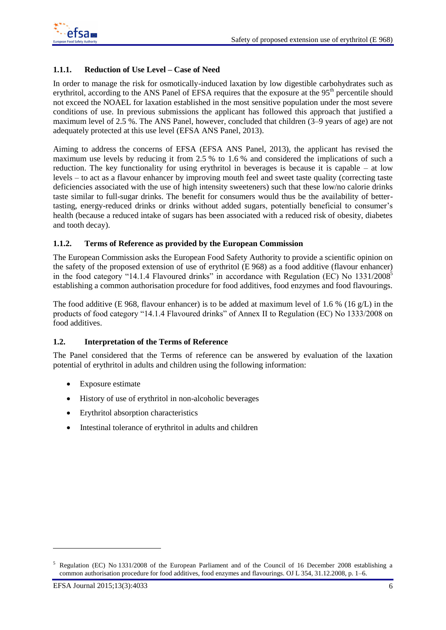## <span id="page-5-0"></span>**1.1.1. Reduction of Use Level – Case of Need**

In order to manage the risk for osmotically-induced laxation by low digestible carbohydrates such as erythritol, according to the ANS Panel of EFSA requires that the exposure at the  $95<sup>th</sup>$  percentile should not exceed the NOAEL for laxation established in the most sensitive population under the most severe conditions of use. In previous submissions the applicant has followed this approach that justified a maximum level of 2.5 %. The ANS Panel, however, concluded that children  $(3-9)$  years of age) are not adequately protected at this use level (EFSA ANS Panel, 2013).

Aiming to address the concerns of EFSA (EFSA ANS Panel, 2013), the applicant has revised the maximum use levels by reducing it from 2.5 % to 1.6 % and considered the implications of such a reduction. The key functionality for using erythritol in beverages is because it is capable – at low levels – to act as a flavour enhancer by improving mouth feel and sweet taste quality (correcting taste deficiencies associated with the use of high intensity sweeteners) such that these low/no calorie drinks taste similar to full-sugar drinks. The benefit for consumers would thus be the availability of better- 76 tasting, energy-reduced drinks or drinks without added sugars, potentially beneficial to consumer's 77 health (because a reduced intake of sugars has been associated with a reduced risk of obesity, diabetes and tooth decay).

### <span id="page-5-1"></span>**1.1.2. Terms of Reference as provided by the European Commission**

The European Commission asks the European Food Safety Authority to provide a scientific opinion on the safety of the proposed extension of use of erythritol  $(E 968)$  as a food additive (flavour enhancer) in the food category "14.1.4 Flavoured drinks" in accordance with Regulation (EC) No 1331/2008<sup>5</sup> establishing a common authorisation procedure for food additives, food enzymes and food flavourings.

The food additive (E 968, flavour enhancer) is to be added at maximum level of 1.6 % (16 g/L) in the products of food category "14.1.4 Flavoured drinks" of Annex II to Regulation (EC) No 1333/2008 on 86 food additives.

### <span id="page-5-2"></span>**1.2. Interpretation of the Terms of Reference**

The Panel considered that the Terms of reference can be answered by evaluation of the laxation potential of erythritol in adults and children using the following information: 90

- Exposure estimate
- History of use of erythritol in non-alcoholic beverages 92
- Erythritol absorption characteristics 93
- Intestinal tolerance of erythritol in adults and children

l

<sup>5</sup> Regulation (EC) No 1331/2008 of the European Parliament and of the Council of 16 December 2008 establishing a common authorisation procedure for food additives, food enzymes and flavourings. OJ L 354, 31.12.2008, p. 1–6.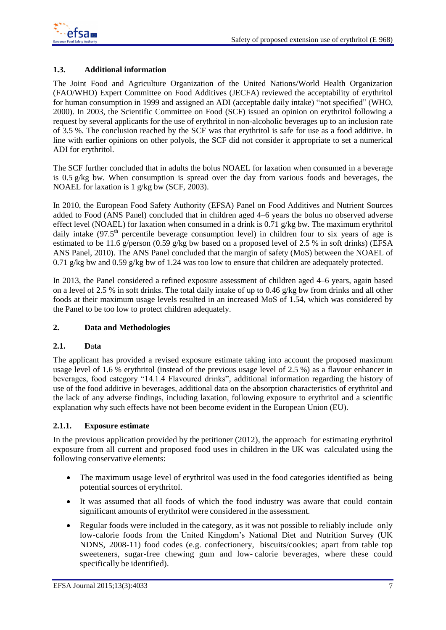

### <span id="page-6-0"></span>**1.3. Additional information** 96

The Joint Food and Agriculture Organization of the United Nations/World Health Organization (FAO/WHO) Expert Committee on Food Additives (JECFA) reviewed the acceptability of erythritol 98 for human consumption in 1999 and assigned an ADI (acceptable daily intake) "not specified" (WHO, 2000). In 2003, the Scientific Committee on Food (SCF) issued an opinion on erythritol following a 100 request by several applicants for the use of erythritol in non-alcoholic beverages up to an inclusion rate of 3.5 %. The conclusion reached by the SCF was that erythritol is safe for use as a food additive. In line with earlier opinions on other polyols, the SCF did not consider it appropriate to set a numerical ADI for erythritol.

The SCF further concluded that in adults the bolus NOAEL for laxation when consumed in a beverage is 0.5 g/kg bw. When consumption is spread over the day from various foods and beverages, the NOAEL for laxation is  $1 \frac{\varrho}{\text{kg}}$  bw (SCF, 2003).

In 2010, the European Food Safety Authority (EFSA) Panel on Food Additives and Nutrient Sources added to Food (ANS Panel) concluded that in children aged 4–6 years the bolus no observed adverse effect level (NOAEL) for laxation when consumed in a drink is 0.71  $g/kg$  bw. The maximum erythritol daily intake  $(97.5<sup>th</sup>$  percentile beverage consumption level) in children four to six years of age is estimated to be 11.6 g/person (0.59 g/kg bw based on a proposed level of 2.5 % in soft drinks) (EFSA ANS Panel, 2010). The ANS Panel concluded that the margin of safety (MoS) between the NOAEL of 0.71 g/kg bw and 0.59 g/kg bw of 1.24 was too low to ensure that children are adequately protected.

In 2013, the Panel considered a refined exposure assessment of children aged 4–6 years, again based on a level of 2.5 % in soft drinks. The total daily intake of up to 0.46 g/kg bw from drinks and all other foods at their maximum usage levels resulted in an increased MoS of 1.54, which was considered by the Panel to be too low to protect children adequately.

### <span id="page-6-1"></span>**2. Data and Methodologies** 11992 **11992**

### <span id="page-6-2"></span>**2.1. Data**

The applicant has provided a revised exposure estimate taking into account the proposed maximum usage level of 1.6 % erythritol (instead of the previous usage level of  $2.5\%$ ) as a flavour enhancer in beverages, food category "14.1.4 Flavoured drinks", additional information regarding the history of use of the food additive in beverages, additional data on the absorption characteristics of erythritol and 124 the lack of any adverse findings, including laxation, following exposure to erythritol and a scientific explanation why such effects have not been become evident in the European Union (EU).

### <span id="page-6-3"></span>**2.1.1. Exposure estimate**

In the previous application provided by the petitioner  $(2012)$ , the approach for estimating erythritol exposure from all current and proposed food uses in children in the UK was calculated using the following conservative elements: 1300 and 1300 and 1300 and 1300 and 1300 and 1300 and 1300 and 1300 and 1300 and 1300 and 1300 and 1300 and 1300 and 1300 and 1300 and 1300 and 1300 and 1300 and 1300 and 1300 and 1300 and

- The maximum usage level of erythritol was used in the food categories identified as being potential sources of erythritol.
- It was assumed that all foods of which the food industry was aware that could contain significant amounts of erythritol were considered in the assessment.
- Regular foods were included in the category, as it was not possible to reliably include only low-calorie foods from the United Kingdom's National Diet and Nutrition Survey (UK NDNS, 2008-11) food codes (e.g. confectionery, biscuits/cookies; apart from table top sweeteners, sugar-free chewing gum and low-calorie beverages, where these could specifically be identified).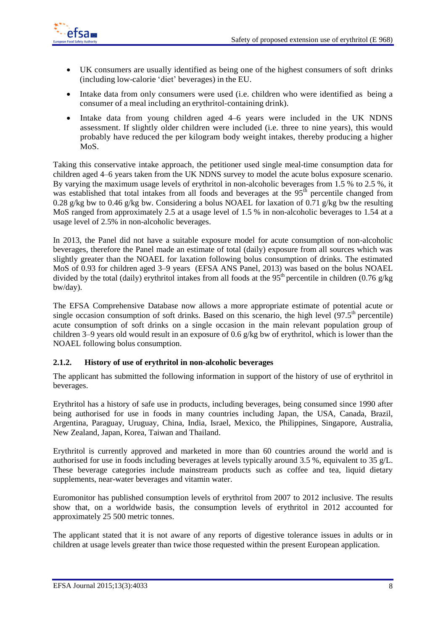

- UK consumers are usually identified as being one of the highest consumers of soft drinks 140 (including low-calorie 'diet' beverages) in the EU. 141
- $\bullet$  Intake data from only consumers were used (i.e. children who were identified as being a consumer of a meal including an erythritol-containing drink).
- Intake data from young children aged 4–6 years were included in the UK NDNS assessment. If slightly older children were included (i.e. three to nine years), this would probably have reduced the per kilogram body weight intakes, thereby producing a higher 146 MoS.

Taking this conservative intake approach, the petitioner used single meal-time consumption data for 148 children aged 4–6 years taken from the UK NDNS survey to model the acute bolus exposure scenario. By varying the maximum usage levels of erythritol in non-alcoholic beverages from  $1.5\%$  to  $2.5\%$ , it was established that total intakes from all foods and beverages at the  $95<sup>th</sup>$  percentile changed from 0.28 g/kg bw to 0.46 g/kg bw. Considering a bolus NOAEL for laxation of 0.71 g/kg bw the resulting MoS ranged from approximately 2.5 at a usage level of 1.5 % in non-alcoholic beverages to 1.54 at a usage level of 2.5% in non-alcoholic beverages.

In 2013, the Panel did not have a suitable exposure model for acute consumption of non-alcoholic beverages, therefore the Panel made an estimate of total (daily) exposure from all sources which was 156 slightly greater than the NOAEL for laxation following bolus consumption of drinks. The estimated MoS of 0.93 for children aged  $3-9$  years (EFSA ANS Panel, 2013) was based on the bolus NOAEL divided by the total (daily) erythritol intakes from all foods at the 95<sup>th</sup> percentile in children (0.76 g/kg)  $b$ w/day).

The EFSA Comprehensive Database now allows a more appropriate estimate of potential acute or 161 single occasion consumption of soft drinks. Based on this scenario, the high level  $(97.5<sup>th</sup>$  percentile) acute consumption of soft drinks on a single occasion in the main relevant population group of children 3–9 years old would result in an exposure of 0.6 g/kg bw of erythritol, which is lower than the NOAEL following bolus consumption.

### <span id="page-7-0"></span>**2.1.2. History of use of erythritol in non-alcoholic beverages**

The applicant has submitted the following information in support of the history of use of erythritol in beverages. The set of the set of the set of the set of the set of the set of the set of the set of the set of the set of the set of the set of the set of the set of the set of the set of the set of the set of the set of th

Erythritol has a history of safe use in products, including beverages, being consumed since 1990 after 169 being authorised for use in foods in many countries including Japan, the USA, Canada, Brazil, Argentina, Paraguay, Uruguay, China, India, Israel, Mexico, the Philippines, Singapore, Australia, 171 New Zealand, Japan, Korea, Taiwan and Thailand.

Erythritol is currently approved and marketed in more than 60 countries around the world and is authorised for use in foods including beverages at levels typically around 3.5 %, equivalent to 35 g/L. These beverage categories include mainstream products such as coffee and tea, liquid dietary supplements, near-water beverages and vitamin water.

Euromonitor has published consumption levels of erythritol from 2007 to 2012 inclusive. The results show that, on a worldwide basis, the consumption levels of erythritol in 2012 accounted for approximately 25 500 metric tonnes.

The applicant stated that it is not aware of any reports of digestive tolerance issues in adults or in children at usage levels greater than twice those requested within the present European application.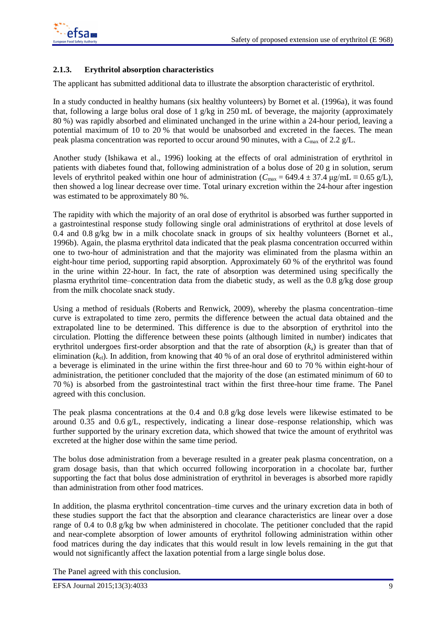## <span id="page-8-0"></span>**2.1.3. Erythritol absorption characteristics**

The applicant has submitted additional data to illustrate the absorption characteristic of erythritol.

In a study conducted in healthy humans (six healthy volunteers) by Bornet et al. (1996a), it was found that, following a large bolus oral dose of 1  $g/kg$  in 250 mL of beverage, the majority (approximately 80 %) was rapidly absorbed and eliminated unchanged in the urine within a 24-hour period, leaving a potential maximum of 10 to 20 % that would be unabsorbed and excreted in the faeces. The mean peak plasma concentration was reported to occur around 90 minutes, with a  $C_{\text{max}}$  of 2.2 g/L.

Another study (Ishikawa et al., 1996) looking at the effects of oral administration of erythritol in 189 patients with diabetes found that, following administration of a bolus dose of  $20 \text{ g}$  in solution, serum levels of erythritol peaked within one hour of administration ( $C_{\text{max}} = 649.4 \pm 37.4$  µg/mL  $\equiv 0.65$  g/L), then showed a log linear decrease over time. Total urinary excretion within the 24-hour after ingestion 192 was estimated to be approximately 80 %.

The rapidity with which the majority of an oral dose of erythritol is absorbed was further supported in a gastrointestinal response study following single oral administrations of erythritol at dose levels of 0.4 and 0.8 g/kg bw in a milk chocolate snack in groups of six healthy volunteers (Bornet et al., 1996b). Again, the plasma erythritol data indicated that the peak plasma concentration occurred within 197 one to two-hour of administration and that the majority was eliminated from the plasma within an 198 eight-hour time period, supporting rapid absorption. Approximately  $60\%$  of the erythritol was found in the urine within 22-hour. In fact, the rate of absorption was determined using specifically the plasma erythritol time–concentration data from the diabetic study, as well as the 0.8  $g/kg$  dose group from the milk chocolate snack study.

Using a method of residuals (Roberts and Renwick, 2009), whereby the plasma concentration–time curve is extrapolated to time zero, permits the difference between the actual data obtained and the extrapolated line to be determined. This difference is due to the absorption of erythritol into the circulation. Plotting the difference between these points (although limited in number) indicates that erythritol undergoes first-order absorption and that the rate of absorption  $(k_a)$  is greater than that of elimination  $(k<sub>el</sub>)$ . In addition, from knowing that 40 % of an oral dose of erythritol administered within a beverage is eliminated in the urine within the first three-hour and  $60$  to  $70\%$  within eight-hour of administration, the petitioner concluded that the majority of the dose (an estimated minimum of 60 to 70 %) is absorbed from the gastrointestinal tract within the first three-hour time frame. The Panel 211 agreed with this conclusion.

The peak plasma concentrations at the  $0.4$  and  $0.8$  g/kg dose levels were likewise estimated to be around 0.35 and 0.6 g/L, respectively, indicating a linear dose–response relationship, which was further supported by the urinary excretion data, which showed that twice the amount of erythritol was excreted at the higher dose within the same time period.

The bolus dose administration from a beverage resulted in a greater peak plasma concentration, on a gram dosage basis, than that which occurred following incorporation in a chocolate bar, further supporting the fact that bolus dose administration of erythritol in beverages is absorbed more rapidly than administration from other food matrices.

In addition, the plasma erythritol concentration–time curves and the urinary excretion data in both of these studies support the fact that the absorption and clearance characteristics are linear over a dose range of 0.4 to 0.8 g/kg bw when administered in chocolate. The petitioner concluded that the rapid and near-complete absorption of lower amounts of erythritol following administration within other food matrices during the day indicates that this would result in low levels remaining in the gut that would not significantly affect the laxation potential from a large single bolus dose.

The Panel agreed with this conclusion.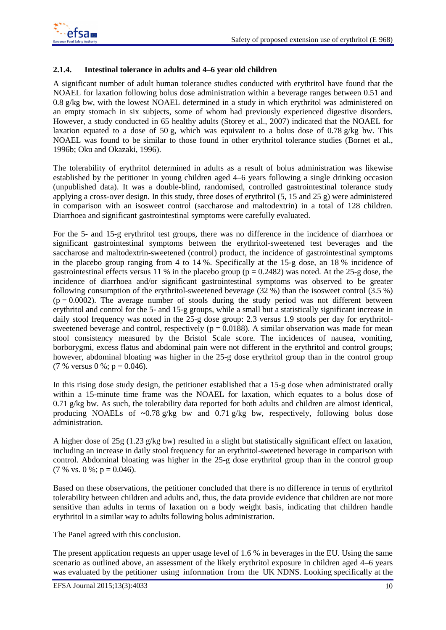### <span id="page-9-0"></span>**2.1.4.** Intestinal tolerance in adults and 4–6 year old children

A significant number of adult human tolerance studies conducted with erythritol have found that the NOAEL for laxation following bolus dose administration within a beverage ranges between 0.51 and 0.8 g/kg bw, with the lowest NOAEL determined in a study in which erythritol was administered on an empty stomach in six subjects, some of whom had previously experienced digestive disorders. However, a study conducted in 65 healthy adults (Storey et al., 2007) indicated that the NOAEL for laxation equated to a dose of 50 g, which was equivalent to a bolus dose of 0.78 g/kg bw. This NOAEL was found to be similar to those found in other erythritol tolerance studies (Bornet et al., 1996b; Oku and Okazaki, 1996). 236

The tolerability of erythritol determined in adults as a result of bolus administration was likewise established by the petitioner in young children aged 4–6 years following a single drinking occasion (unpublished data). It was a double-blind, randomised, controlled gastrointestinal tolerance study 239 applying a cross-over design. In this study, three doses of erythritol  $(5, 15 \text{ and } 25 \text{ g})$  were administered in comparison with an isosweet control (saccharose and maltodextrin) in a total of 128 children. Diarrhoea and significant gastrointestinal symptoms were carefully evaluated.

For the 5- and 15-g erythritol test groups, there was no difference in the incidence of diarrhoea or significant gastrointestinal symptoms between the erythritol-sweetened test beverages and the saccharose and maltodextrin-sweetened (control) product, the incidence of gastrointestinal symptoms in the placebo group ranging from 4 to  $14\%$ . Specifically at the 15-g dose, an 18 % incidence of gastrointestinal effects versus 11 % in the placebo group ( $p = 0.2482$ ) was noted. At the 25-g dose, the incidence of diarrhoea and/or significant gastrointestinal symptoms was observed to be greater following consumption of the erythritol-sweetened beverage  $(32\%)$  than the isosweet control  $(3.5\%)$  $(p = 0.0002)$ . The average number of stools during the study period was not different between erythritol and control for the 5- and 15-g groups, while a small but a statistically significant increase in daily stool frequency was noted in the  $25-g$  dose group: 2.3 versus 1.9 stools per day for erythritolsweetened beverage and control, respectively ( $p = 0.0188$ ). A similar observation was made for mean stool consistency measured by the Bristol Scale score. The incidences of nausea, vomiting, borborygmi, excess flatus and abdominal pain were not different in the erythritol and control groups; however, abdominal bloating was higher in the 25-g dose erythritol group than in the control group (7 % versus 0 %;  $p = 0.046$ ).

In this rising dose study design, the petitioner established that a 15-g dose when administrated orally within a 15-minute time frame was the NOAEL for laxation, which equates to a bolus dose of  $0.71$  g/kg bw. As such, the tolerability data reported for both adults and children are almost identical, producing NOAELs of  $\sim 0.78$  g/kg bw and 0.71 g/kg bw, respectively, following bolus dose administration.

A higher dose of 25g (1.23 g/kg bw) resulted in a slight but statistically significant effect on laxation, including an increase in daily stool frequency for an erythritol-sweetened beverage in comparison with control. Abdominal bloating was higher in the 25-g dose erythritol group than in the control group  $(7\% \text{ vs. } 0\%; \text{ p } = 0.046).$ 

Based on these observations, the petitioner concluded that there is no difference in terms of erythritol tolerability between children and adults and, thus, the data provide evidence that children are not more sensitive than adults in terms of laxation on a body weight basis, indicating that children handle erythritol in a similar way to adults following bolus administration.

The Panel agreed with this conclusion.

The present application requests an upper usage level of  $1.6\%$  in beverages in the EU. Using the same scenario as outlined above, an assessment of the likely erythritol exposure in children aged 4–6 years was evaluated by the petitioner using information from the UK NDNS. Looking specifically at the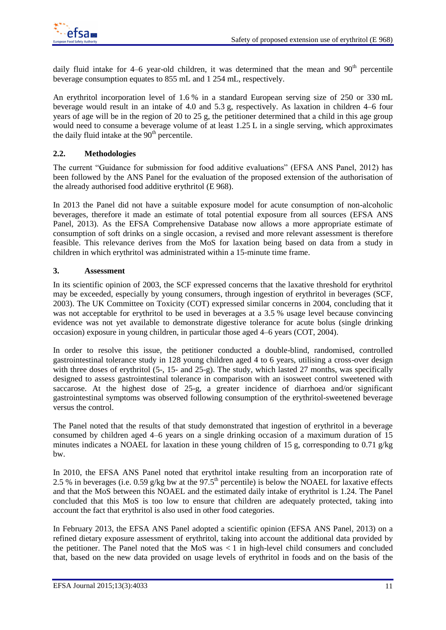

daily fluid intake for 4–6 year-old children, it was determined that the mean and  $90<sup>th</sup>$  percentile beverage consumption equates to 855 mL and 1 254 mL, respectively.

An erythritol incorporation level of  $1.6\%$  in a standard European serving size of  $250$  or  $330$  mL beverage would result in an intake of 4.0 and 5.3 g, respectively. As laxation in children  $4-6$  four years of age will be in the region of 20 to 25 g, the petitioner determined that a child in this age group would need to consume a beverage volume of at least  $1.25$  L in a single serving, which approximates the daily fluid intake at the  $90<sup>th</sup>$  percentile.

### <span id="page-10-0"></span>**2.2. Methodologies**

The current "Guidance for submission for food additive evaluations" (EFSA ANS Panel, 2012) has been followed by the ANS Panel for the evaluation of the proposed extension of the authorisation of the already authorised food additive erythritol  $(E 968)$ .

In 2013 the Panel did not have a suitable exposure model for acute consumption of non-alcoholic beverages, therefore it made an estimate of total potential exposure from all sources (EFSA ANS Panel, 2013). As the EFSA Comprehensive Database now allows a more appropriate estimate of consumption of soft drinks on a single occasion, a revised and more relevant assessment is therefore feasible. This relevance derives from the MoS for laxation being based on data from a study in children in which erythritol was administrated within a 15-minute time frame.

### <span id="page-10-1"></span>**3.** Assessment

In its scientific opinion of 2003, the SCF expressed concerns that the laxative threshold for erythritol may be exceeded, especially by young consumers, through ingestion of erythritol in beverages (SCF, 2003). The UK Committee on Toxicity (COT) expressed similar concerns in 2004, concluding that it was not acceptable for erythritol to be used in beverages at a 3.5 % usage level because convincing evidence was not yet available to demonstrate digestive tolerance for acute bolus (single drinking occasion) exposure in young children, in particular those aged 4–6 years (COT, 2004). 298

In order to resolve this issue, the petitioner conducted a double-blind, randomised, controlled gastrointestinal tolerance study in 128 young children aged 4 to 6 years, utilising a cross-over design 300 with three doses of erythritol  $(5-$ , 15- and  $(25-$ g). The study, which lasted 27 months, was specifically designed to assess gastrointestinal tolerance in comparison with an isosweet control sweetened with saccarose. At the highest dose of  $25-g$ , a greater incidence of diarrhoea and/or significant gastrointestinal symptoms was observed following consumption of the erythritol-sweetened beverage versus the control.

The Panel noted that the results of that study demonstrated that ingestion of erythritol in a beverage consumed by children aged 4–6 years on a single drinking occasion of a maximum duration of 15 minutes indicates a NOAEL for laxation in these young children of 15 g, corresponding to 0.71 g/kg bw.

In 2010, the EFSA ANS Panel noted that erythritol intake resulting from an incorporation rate of 2.5 % in beverages (i.e. 0.59 g/kg bw at the  $97.5<sup>th</sup>$  percentile) is below the NOAEL for laxative effects and that the MoS between this NOAEL and the estimated daily intake of erythritol is 1.24. The Panel concluded that this MoS is too low to ensure that children are adequately protected, taking into account the fact that erythritol is also used in other food categories.

In February 2013, the EFSA ANS Panel adopted a scientific opinion (EFSA ANS Panel, 2013) on a refined dietary exposure assessment of erythritol, taking into account the additional data provided by 316 the petitioner. The Panel noted that the MoS was  $\lt 1$  in high-level child consumers and concluded that, based on the new data provided on usage levels of erythritol in foods and on the basis of the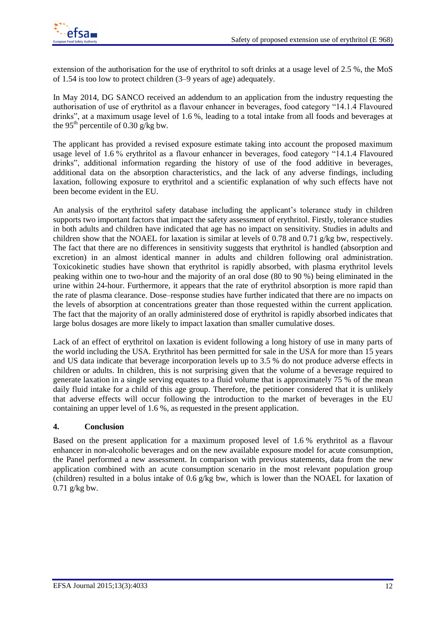

extension of the authorisation for the use of erythritol to soft drinks at a usage level of 2.5 %, the MoS of 1.54 is too low to protect children  $(3-9)$  years of age) adequately.

In May 2014, DG SANCO received an addendum to an application from the industry requesting the authorisation of use of erythritol as a flavour enhancer in beverages, food category "14.1.4 Flavoured drinks", at a maximum usage level of 1.6 %, leading to a total intake from all foods and beverages at the 95<sup>th</sup> percentile of 0.30 g/kg bw. the 95<sup>th</sup> percentile of 0.30 g/kg bw.

The applicant has provided a revised exposure estimate taking into account the proposed maximum usage level of 1.6% erythritol as a flavour enhancer in beverages, food category "14.1.4 Flavoured drinks", additional information regarding the history of use of the food additive in beverages, additional data on the absorption characteristics, and the lack of any adverse findings, including laxation, following exposure to erythritol and a scientific explanation of why such effects have not been become evident in the EU.  $\overline{a}$  3300  $\overline{a}$  3300  $\overline{a}$  3300  $\overline{a}$  3300  $\overline{a}$  3300  $\overline{a}$  3300  $\overline{a}$  3300  $\overline{a}$  3300  $\overline{a}$  3300  $\overline{a}$  3300  $\overline{a}$  3300  $\overline{a}$  3300  $\overline{a}$  3300  $\overline{a}$ 

An analysis of the erythritol safety database including the applicant's tolerance study in children supports two important factors that impact the safety assessment of erythritol. Firstly, tolerance studies in both adults and children have indicated that age has no impact on sensitivity. Studies in adults and children show that the NOAEL for laxation is similar at levels of 0.78 and 0.71 g/kg bw, respectively. The fact that there are no differences in sensitivity suggests that erythritol is handled (absorption and excretion) in an almost identical manner in adults and children following oral administration. Toxicokinetic studies have shown that erythritol is rapidly absorbed, with plasma erythritol levels 337 peaking within one to two-hour and the majority of an oral dose  $(80 \text{ to } 90 \text{ %})$  being eliminated in the urine within 24-hour. Furthermore, it appears that the rate of erythritol absorption is more rapid than 339 the rate of plasma clearance. Dose–response studies have further indicated that there are no impacts on the levels of absorption at concentrations greater than those requested within the current application. 341 The fact that the majority of an orally administered dose of erythritol is rapidly absorbed indicates that large bolus dosages are more likely to impact laxation than smaller cumulative doses.

Lack of an effect of erythritol on laxation is evident following a long history of use in many parts of the world including the USA. Erythritol has been permitted for sale in the USA for more than 15 years and US data indicate that beverage incorporation levels up to 3.5 % do not produce adverse effects in children or adults. In children, this is not surprising given that the volume of a beverage required to generate laxation in a single serving equates to a fluid volume that is approximately 75 % of the mean daily fluid intake for a child of this age group. Therefore, the petitioner considered that it is unlikely that adverse effects will occur following the introduction to the market of beverages in the EU 350 containing an upper level of  $1.6\%$ , as requested in the present application.

### <span id="page-11-0"></span>**4. Conclusion** 352

Based on the present application for a maximum proposed level of 1.6 % erythritol as a flavour enhancer in non-alcoholic beverages and on the new available exposure model for acute consumption, 354 the Panel performed a new assessment. In comparison with previous statements, data from the new application combined with an acute consumption scenario in the most relevant population group (children) resulted in a bolus intake of 0.6 g/kg bw, which is lower than the NOAEL for laxation of  $0.71$  g/kg bw.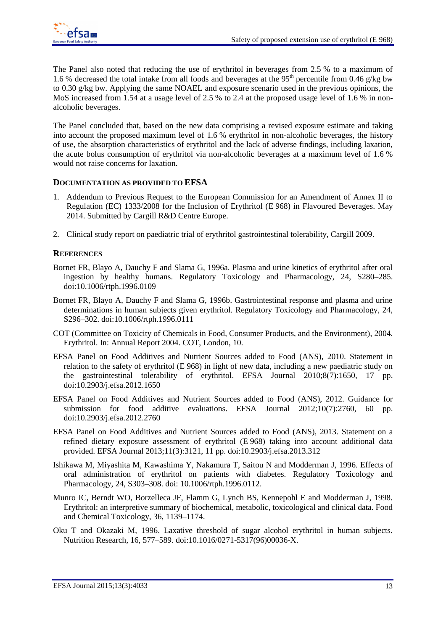The Panel also noted that reducing the use of erythritol in beverages from 2.5 % to a maximum of 1.6 % decreased the total intake from all foods and beverages at the  $95<sup>th</sup>$  percentile from 0.46 g/kg bw to 0.30 g/kg bw. Applying the same NOAEL and exposure scenario used in the previous opinions, the MoS increased from 1.54 at a usage level of 2.5 % to 2.4 at the proposed usage level of 1.6 % in nonalcoholic beverages.  $\blacksquare$ 

The Panel concluded that, based on the new data comprising a revised exposure estimate and taking into account the proposed maximum level of  $1.6\%$  erythritol in non-alcoholic beverages, the history of use, the absorption characteristics of erythritol and the lack of adverse findings, including laxation, 367 the acute bolus consumption of erythritol via non-alcoholic beverages at a maximum level of 1.6 % would not raise concerns for laxation.

## <span id="page-12-0"></span>**DOCUMENTATION AS PROVIDED TO EFSA** 370

- 1. Addendum to Previous Request to the European Commission for an Amendment of Annex II to Regulation (EC) 1333/2008 for the Inclusion of Erythritol (E968) in Flavoured Beverages. May 2014. Submitted by Cargill R&D Centre Europe.
- 2. Clinical study report on paediatric trial of erythritol gastrointestinal tolerability, Cargill 2009.

## <span id="page-12-1"></span>**REFERENCES** 375

- Bornet FR, Blayo A, Dauchy F and Slama G, 1996a. Plasma and urine kinetics of erythritol after oral ingestion by healthy humans. Regulatory Toxicology and Pharmacology, 24, S280–285. doi:10.1006/rtph.1996.0109
- Bornet FR, Blayo A, Dauchy F and Slama G, 1996b. Gastrointestinal response and plasma and urine determinations in human subjects given erythritol. Regulatory Toxicology and Pharmacology, 24, S296–302. doi:10.1006/rtph.1996.0111
- COT (Committee on Toxicity of Chemicals in Food, Consumer Products, and the Environment), 2004. Erythritol. In: Annual Report 2004. COT, London, 10.
- EFSA Panel on Food Additives and Nutrient Sources added to Food (ANS), 2010. Statement in relation to the safety of erythritol (E 968) in light of new data, including a new paediatric study on the gastrointestinal tolerability of erythritol. EFSA Journal 2010;8(7):1650, 17 pp. doi:10.2903/j.efsa.2012.1650 387
- EFSA Panel on Food Additives and Nutrient Sources added to Food (ANS), 2012. Guidance for submission for food additive evaluations. EFSA Journal  $2012;10(7):2760$ , 60 pp. doi:10.2903/j.efsa.2012.2760 390
- EFSA Panel on Food Additives and Nutrient Sources added to Food (ANS), 2013. Statement on a refined dietary exposure assessment of erythritol (E 968) taking into account additional data provided. EFSA Journal 2013;11(3):3121, 11 pp. doi:10.2903/j.efsa.2013.312
- Ishikawa M, Miyashita M, Kawashima Y, Nakamura T, Saitou N and Modderman J, 1996. Effects of oral administration of erythritol on patients with diabetes. Regulatory Toxicology and Pharmacology, 24, S303-308. doi: 10.1006/rtph.1996.0112.
- Munro IC, Berndt WO, Borzelleca JF, Flamm G, Lynch BS, Kennepohl E and Modderman J, 1998. Erythritol: an interpretive summary of biochemical, metabolic, toxicological and clinical data. Food and Chemical Toxicology, 36, 1139–1174.
- Oku T and Okazaki M, 1996. Laxative threshold of sugar alcohol erythritol in human subjects. Nutrition Research, 16, 577-589. doi:10.1016/0271-5317(96)00036-X.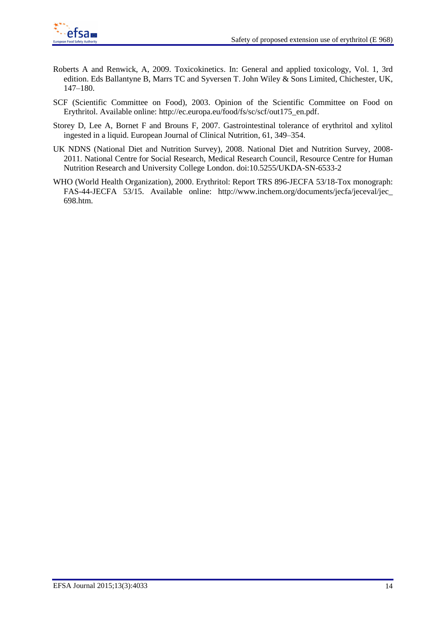

- Roberts A and Renwick, A, 2009. Toxicokinetics. In: General and applied toxicology, Vol. 1, 3rd edition. Eds Ballantyne B, Marrs TC and Syversen T. John Wiley & Sons Limited, Chichester, UK, 147–180.
- SCF (Scientific Committee on Food), 2003. Opinion of the Scientific Committee on Food on Erythritol. Available online: [http://ec.europa.eu/food/fs/sc/scf/out175\\_en.pdf.](http://ec.europa.eu/food/fs/sc/scf/out175_en.pdf)
- Storey D, Lee A, Bornet F and Brouns F, 2007. Gastrointestinal tolerance of erythritol and xylitol ingested in a liquid. European Journal of Clinical Nutrition, 61, 349–354.
- UK NDNS (National Diet and Nutrition Survey), 2008. National Diet and Nutrition Survey, 2008-2011. National Centre for Social Research, Medical Research Council, Resource Centre for Human Nutrition Research and University College London. doi:10.5255/UKDA-SN-6533-2
- WHO (World Health Organization), 2000. Erythritol: Report TRS 896-JECFA 53/18-Tox monograph: FAS-44-JECFA 53/15. Available online: http://www.inchem.org/documents/jecfa/jeceval/jec\_ 413 698.htm. 414